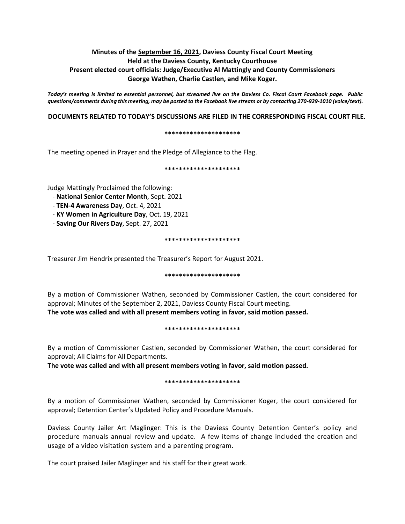# **Minutes of the September 16, 2021, Daviess County Fiscal Court Meeting Held at the Daviess County, Kentucky Courthouse Present elected court officials: Judge/Executive Al Mattingly and County Commissioners George Wathen, Charlie Castlen, and Mike Koger.**

*Today's meeting is limited to essential personnel, but streamed live on the Daviess Co. Fiscal Court Facebook page. Public questions/comments during this meeting, may be posted to the Facebook live stream or by contacting 270-929-1010 (voice/text).*

### **DOCUMENTS RELATED TO TODAY'S DISCUSSIONS ARE FILED IN THE CORRESPONDING FISCAL COURT FILE.**

#### **\*\*\*\*\*\*\*\*\*\*\*\*\*\*\*\*\*\*\*\*\***

The meeting opened in Prayer and the Pledge of Allegiance to the Flag.

#### **\*\*\*\*\*\*\*\*\*\*\*\*\*\*\*\*\*\*\*\*\***

Judge Mattingly Proclaimed the following:

- **National Senior Center Month**, Sept. 2021
- **TEN-4 Awareness Day**, Oct. 4, 2021
- **KY Women in Agriculture Day**, Oct. 19, 2021
- **Saving Our Rivers Day**, Sept. 27, 2021

#### **\*\*\*\*\*\*\*\*\*\*\*\*\*\*\*\*\*\*\*\*\***

Treasurer Jim Hendrix presented the Treasurer's Report for August 2021.

#### **\*\*\*\*\*\*\*\*\*\*\*\*\*\*\*\*\*\*\*\*\***

By a motion of Commissioner Wathen, seconded by Commissioner Castlen, the court considered for approval; Minutes of the September 2, 2021, Daviess County Fiscal Court meeting. **The vote was called and with all present members voting in favor, said motion passed.** 

#### **\*\*\*\*\*\*\*\*\*\*\*\*\*\*\*\*\*\*\*\*\***

By a motion of Commissioner Castlen, seconded by Commissioner Wathen, the court considered for approval; All Claims for All Departments.

**The vote was called and with all present members voting in favor, said motion passed.** 

#### **\*\*\*\*\*\*\*\*\*\*\*\*\*\*\*\*\*\*\*\*\***

By a motion of Commissioner Wathen, seconded by Commissioner Koger, the court considered for approval; Detention Center's Updated Policy and Procedure Manuals.

Daviess County Jailer Art Maglinger: This is the Daviess County Detention Center's policy and procedure manuals annual review and update. A few items of change included the creation and usage of a video visitation system and a parenting program.

The court praised Jailer Maglinger and his staff for their great work.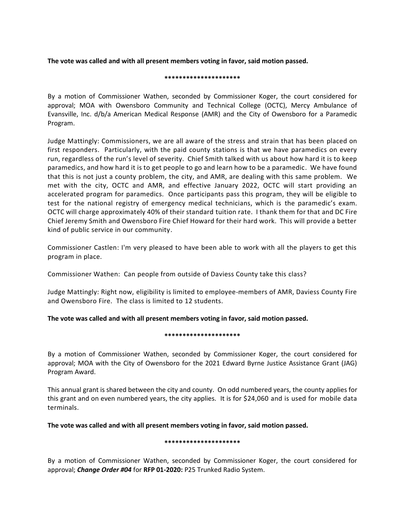**The vote was called and with all present members voting in favor, said motion passed.**

#### **\*\*\*\*\*\*\*\*\*\*\*\*\*\*\*\*\*\*\*\*\***

By a motion of Commissioner Wathen, seconded by Commissioner Koger, the court considered for approval; MOA with Owensboro Community and Technical College (OCTC), Mercy Ambulance of Evansville, Inc. d/b/a American Medical Response (AMR) and the City of Owensboro for a Paramedic Program.

Judge Mattingly: Commissioners, we are all aware of the stress and strain that has been placed on first responders. Particularly, with the paid county stations is that we have paramedics on every run, regardless of the run's level of severity. Chief Smith talked with us about how hard it is to keep paramedics, and how hard it is to get people to go and learn how to be a paramedic. We have found that this is not just a county problem, the city, and AMR, are dealing with this same problem. We met with the city, OCTC and AMR, and effective January 2022, OCTC will start providing an accelerated program for paramedics. Once participants pass this program, they will be eligible to test for the national registry of emergency medical technicians, which is the paramedic's exam. OCTC will charge approximately 40% of their standard tuition rate. I thank them for that and DC Fire Chief Jeremy Smith and Owensboro Fire Chief Howard for their hard work. This will provide a better kind of public service in our community.

Commissioner Castlen: I'm very pleased to have been able to work with all the players to get this program in place.

Commissioner Wathen: Can people from outside of Daviess County take this class?

Judge Mattingly: Right now, eligibility is limited to employee-members of AMR, Daviess County Fire and Owensboro Fire. The class is limited to 12 students.

### **The vote was called and with all present members voting in favor, said motion passed.**

### **\*\*\*\*\*\*\*\*\*\*\*\*\*\*\*\*\*\*\*\*\***

By a motion of Commissioner Wathen, seconded by Commissioner Koger, the court considered for approval; MOA with the City of Owensboro for the 2021 Edward Byrne Justice Assistance Grant (JAG) Program Award.

This annual grant is shared between the city and county. On odd numbered years, the county applies for this grant and on even numbered years, the city applies. It is for \$24,060 and is used for mobile data terminals.

**The vote was called and with all present members voting in favor, said motion passed.**

### **\*\*\*\*\*\*\*\*\*\*\*\*\*\*\*\*\*\*\*\*\***

By a motion of Commissioner Wathen, seconded by Commissioner Koger, the court considered for approval; *Change Order #04* for **RFP 01-2020:** P25 Trunked Radio System.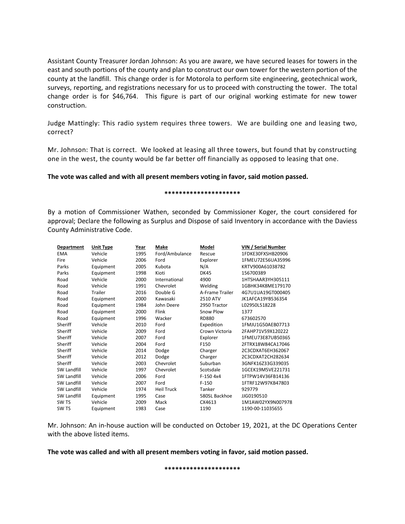Assistant County Treasurer Jordan Johnson: As you are aware, we have secured leases for towers in the east and south portions of the county and plan to construct our own tower for the western portion of the county at the landfill. This change order is for Motorola to perform site engineering, geotechnical work, surveys, reporting, and registrations necessary for us to proceed with constructing the tower. The total change order is for \$46,764. This figure is part of our original working estimate for new tower construction.

Judge Mattingly: This radio system requires three towers. We are building one and leasing two, correct?

Mr. Johnson: That is correct. We looked at leasing all three towers, but found that by constructing one in the west, the county would be far better off financially as opposed to leasing that one.

### **The vote was called and with all present members voting in favor, said motion passed.**

#### **\*\*\*\*\*\*\*\*\*\*\*\*\*\*\*\*\*\*\*\*\***

By a motion of Commissioner Wathen, seconded by Commissioner Koger, the court considered for approval; Declare the following as Surplus and Dispose of said Inventory in accordance with the Daviess County Administrative Code.

| <b>Department</b>  | <b>Unit Type</b> | Year | <b>Make</b>       | Model           | VIN / Serial Number |
|--------------------|------------------|------|-------------------|-----------------|---------------------|
| <b>EMA</b>         | Vehicle          | 1995 | Ford/Ambulance    | Rescue          | 1FDKE30FXSHB20906   |
| Fire               | Vehicle          | 2006 | Ford              | Explorer        | 1FMEU72E56UA35996   |
| Parks              | Equipment        | 2005 | Kubota            | N/A             | KRTV900A61038782    |
| Parks              | Equipment        | 1998 | Kioti             | <b>DK45</b>     | 156700389           |
| Road               | Vehicle          | 2000 | International     | 4900            | 1HTSHAAR3YH305111   |
| Road               | Vehicle          | 1991 | Chevrolet         | Welding         | 1GBHK34K8ME179170   |
| Road               | <b>Trailer</b>   | 2016 | Double G          | A-Frame Trailer | 4G7U1UA19GT000405   |
| Road               | Equipment        | 2000 | Kawasaki          | 2510 ATV        | JK1AFCA19YB536354   |
| Road               | Equipment        | 1984 | John Deere        | 2950 Tractor    | L02950L518228       |
| Road               | Equipment        | 2000 | Flink             | Snow Plow       | 1377                |
| Road               | Equipment        | 1996 | Wacker            | <b>RD880</b>    | 673602570           |
| Sheriff            | Vehicle          | 2010 | Ford              | Expedition      | 1FMJU1G50AEB07713   |
| Sheriff            | Vehicle          | 2009 | Ford              | Crown Victoria  | 2FAHP71V59X120222   |
| Sheriff            | Vehicle          | 2007 | Ford              | Explorer        | 1FMEU73E87UB50365   |
| Sheriff            | Vehicle          | 2004 | Ford              | F150            | 2FTRX18W84CA17046   |
| Sheriff            | Vehicle          | 2014 | Dodge             | Charger         | 2C3CDXAT6EH362067   |
| Sheriff            | Vehicle          | 2012 | Dodge             | Charger         | 2C3CDXAT2CH282634   |
| Sheriff            | Vehicle          | 2003 | Chevrolet         | Suburban        | 3GNFK16Z33G339035   |
| <b>SW Landfill</b> | Vehicle          | 1997 | Chevrolet         | Scotsdale       | 1GCEK19M5VE221731   |
| <b>SW Landfill</b> | Vehicle          | 2006 | Ford              | $F-150.4x4$     | 1FTPW14V36FB14136   |
| <b>SW Landfill</b> | Vehicle          | 2007 | Ford              | $F-150$         | 1FTRF12W97KB47803   |
| <b>SW Landfill</b> | Vehicle          | 1974 | <b>Heil Truck</b> | Tanker          | 929779              |
| <b>SW Landfill</b> | Equipment        | 1995 | Case              | 580SL Backhoe   | JJG0190510          |
| SW TS              | Vehicle          | 2009 | Mack              | CX4613          | 1M1AW02YX9N007978   |
| SW <sub>TS</sub>   | Equipment        | 1983 | Case              | 1190            | 1190-00-11035655    |

Mr. Johnson: An in-house auction will be conducted on October 19, 2021, at the DC Operations Center with the above listed items.

### **The vote was called and with all present members voting in favor, said motion passed.**

**\*\*\*\*\*\*\*\*\*\*\*\*\*\*\*\*\*\*\*\*\***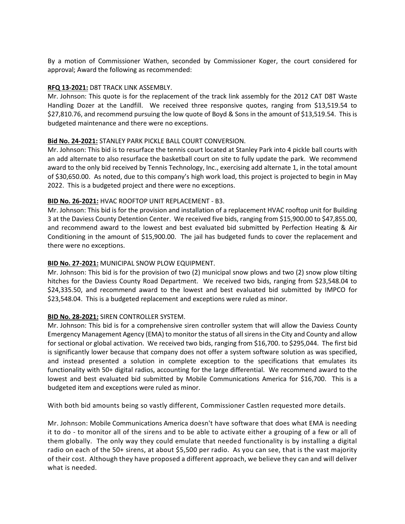By a motion of Commissioner Wathen, seconded by Commissioner Koger, the court considered for approval; Award the following as recommended:

### **RFQ 13-2021:** D8T TRACK LINK ASSEMBLY.

Mr. Johnson: This quote is for the replacement of the track link assembly for the 2012 CAT D8T Waste Handling Dozer at the Landfill. We received three responsive quotes, ranging from \$13,519.54 to \$27,810.76, and recommend pursuing the low quote of Boyd & Sons in the amount of \$13,519.54. This is budgeted maintenance and there were no exceptions.

# **Bid No. 24-2021:** STANLEY PARK PICKLE BALL COURT CONVERSION.

Mr. Johnson: This bid is to resurface the tennis court located at Stanley Park into 4 pickle ball courts with an add alternate to also resurface the basketball court on site to fully update the park. We recommend award to the only bid received by Tennis Technology, Inc., exercising add alternate 1, in the total amount of \$30,650.00. As noted, due to this company's high work load, this project is projected to begin in May 2022. This is a budgeted project and there were no exceptions.

# **BID No. 26-2021:** HVAC ROOFTOP UNIT REPLACEMENT - B3.

Mr. Johnson: This bid is for the provision and installation of a replacement HVAC rooftop unit for Building 3 at the Daviess County Detention Center. We received five bids, ranging from \$15,900.00 to \$47,855.00, and recommend award to the lowest and best evaluated bid submitted by Perfection Heating & Air Conditioning in the amount of \$15,900.00. The jail has budgeted funds to cover the replacement and there were no exceptions.

# **BID No. 27-2021:** MUNICIPAL SNOW PLOW EQUIPMENT.

Mr. Johnson: This bid is for the provision of two (2) municipal snow plows and two (2) snow plow tilting hitches for the Daviess County Road Department. We received two bids, ranging from \$23,548.04 to \$24,335.50, and recommend award to the lowest and best evaluated bid submitted by IMPCO for \$23,548.04. This is a budgeted replacement and exceptions were ruled as minor.

### **BID No. 28-2021:** SIREN CONTROLLER SYSTEM.

Mr. Johnson: This bid is for a comprehensive siren controller system that will allow the Daviess County Emergency Management Agency (EMA) to monitor the status of all sirens in the City and County and allow for sectional or global activation. We received two bids, ranging from \$16,700. to \$295,044. The first bid is significantly lower because that company does not offer a system software solution as was specified, and instead presented a solution in complete exception to the specifications that emulates its functionality with 50+ digital radios, accounting for the large differential. We recommend award to the lowest and best evaluated bid submitted by Mobile Communications America for \$16,700. This is a budgeted item and exceptions were ruled as minor.

With both bid amounts being so vastly different, Commissioner Castlen requested more details.

Mr. Johnson: Mobile Communications America doesn't have software that does what EMA is needing it to do - to monitor all of the sirens and to be able to activate either a grouping of a few or all of them globally. The only way they could emulate that needed functionality is by installing a digital radio on each of the 50+ sirens, at about \$5,500 per radio. As you can see, that is the vast majority of their cost. Although they have proposed a different approach, we believe they can and will deliver what is needed.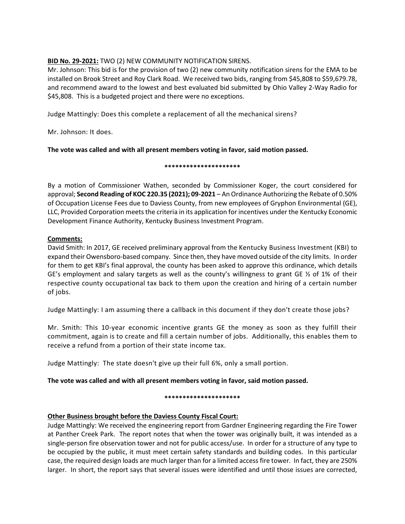# **BID No. 29-2021:** TWO (2) NEW COMMUNITY NOTIFICATION SIRENS.

Mr. Johnson: This bid is for the provision of two (2) new community notification sirens for the EMA to be installed on Brook Street and Roy Clark Road. We received two bids, ranging from \$45,808 to \$59,679.78, and recommend award to the lowest and best evaluated bid submitted by Ohio Valley 2-Way Radio for \$45,808. This is a budgeted project and there were no exceptions.

Judge Mattingly: Does this complete a replacement of all the mechanical sirens?

Mr. Johnson: It does.

# **The vote was called and with all present members voting in favor, said motion passed.**

### **\*\*\*\*\*\*\*\*\*\*\*\*\*\*\*\*\*\*\*\*\***

By a motion of Commissioner Wathen, seconded by Commissioner Koger, the court considered for approval; **Second Reading of KOC 220.35 (2021); 09-2021** – An Ordinance Authorizing the Rebate of 0.50% of Occupation License Fees due to Daviess County, from new employees of Gryphon Environmental (GE), LLC, Provided Corporation meets the criteria in its application for incentives under the Kentucky Economic Development Finance Authority, Kentucky Business Investment Program.

# **Comments:**

David Smith: In 2017, GE received preliminary approval from the Kentucky Business Investment (KBI) to expand their Owensboro-based company. Since then, they have moved outside of the city limits. In order for them to get KBI's final approval, the county has been asked to approve this ordinance, which details GE's employment and salary targets as well as the county's willingness to grant GE  $\frac{1}{2}$  of 1% of their respective county occupational tax back to them upon the creation and hiring of a certain number of jobs.

Judge Mattingly: I am assuming there a callback in this document if they don't create those jobs?

Mr. Smith: This 10-year economic incentive grants GE the money as soon as they fulfill their commitment, again is to create and fill a certain number of jobs. Additionally, this enables them to receive a refund from a portion of their state income tax.

Judge Mattingly: The state doesn't give up their full 6%, only a small portion.

# **The vote was called and with all present members voting in favor, said motion passed.**

### **\*\*\*\*\*\*\*\*\*\*\*\*\*\*\*\*\*\*\*\*\***

# **Other Business brought before the Daviess County Fiscal Court:**

Judge Mattingly: We received the engineering report from Gardner Engineering regarding the Fire Tower at Panther Creek Park. The report notes that when the tower was originally built, it was intended as a single-person fire observation tower and not for public access/use. In order for a structure of any type to be occupied by the public, it must meet certain safety standards and building codes. In this particular case, the required design loads are much larger than for a limited access fire tower. In fact, they are 250% larger. In short, the report says that several issues were identified and until those issues are corrected,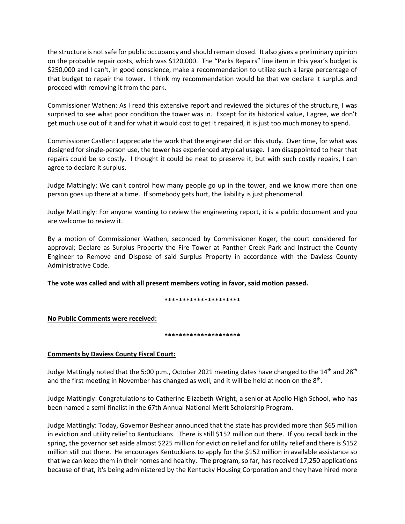the structure is not safe for public occupancy and should remain closed. It also gives a preliminary opinion on the probable repair costs, which was \$120,000. The "Parks Repairs" line item in this year's budget is \$250,000 and I can't, in good conscience, make a recommendation to utilize such a large percentage of that budget to repair the tower. I think my recommendation would be that we declare it surplus and proceed with removing it from the park.

Commissioner Wathen: As I read this extensive report and reviewed the pictures of the structure, I was surprised to see what poor condition the tower was in. Except for its historical value, I agree, we don't get much use out of it and for what it would cost to get it repaired, it is just too much money to spend.

Commissioner Castlen: I appreciate the work that the engineer did on this study. Over time, for what was designed for single-person use, the tower has experienced atypical usage. I am disappointed to hear that repairs could be so costly. I thought it could be neat to preserve it, but with such costly repairs, I can agree to declare it surplus.

Judge Mattingly: We can't control how many people go up in the tower, and we know more than one person goes up there at a time. If somebody gets hurt, the liability is just phenomenal.

Judge Mattingly: For anyone wanting to review the engineering report, it is a public document and you are welcome to review it.

By a motion of Commissioner Wathen, seconded by Commissioner Koger, the court considered for approval; Declare as Surplus Property the Fire Tower at Panther Creek Park and Instruct the County Engineer to Remove and Dispose of said Surplus Property in accordance with the Daviess County Administrative Code.

**The vote was called and with all present members voting in favor, said motion passed.**

**\*\*\*\*\*\*\*\*\*\*\*\*\*\*\*\*\*\*\*\*\***

**No Public Comments were received:**

**\*\*\*\*\*\*\*\*\*\*\*\*\*\*\*\*\*\*\*\*\***

### **Comments by Daviess County Fiscal Court:**

Judge Mattingly noted that the 5:00 p.m., October 2021 meeting dates have changed to the 14<sup>th</sup> and 28<sup>th</sup> and the first meeting in November has changed as well, and it will be held at noon on the  $8<sup>th</sup>$ .

Judge Mattingly: Congratulations to Catherine Elizabeth Wright, a senior at Apollo High School, who has been named a semi-finalist in the 67th Annual National Merit Scholarship Program.

Judge Mattingly: Today, Governor Beshear announced that the state has provided more than \$65 million in eviction and utility relief to Kentuckians. There is still \$152 million out there. If you recall back in the spring, the governor set aside almost \$225 million for eviction relief and for utility relief and there is \$152 million still out there. He encourages Kentuckians to apply for the \$152 million in available assistance so that we can keep them in their homes and healthy. The program, so far, has received 17,250 applications because of that, it's being administered by the Kentucky Housing Corporation and they have hired more